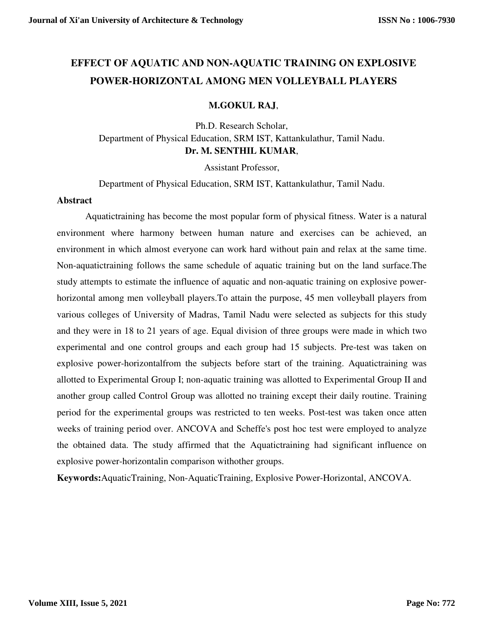# **EFFECT OF AQUATIC AND NON-AQUATIC TRAINING ON EXPLOSIVE POWER-HORIZONTAL AMONG MEN VOLLEYBALL PLAYERS**

### **M.GOKUL RAJ**,

Ph.D. Research Scholar, Department of Physical Education, SRM IST, Kattankulathur, Tamil Nadu. **Dr. M. SENTHIL KUMAR**,

Assistant Professor,

Department of Physical Education, SRM IST, Kattankulathur, Tamil Nadu.

#### **Abstract**

Aquatictraining has become the most popular form of physical fitness. Water is a natural environment where harmony between human nature and exercises can be achieved, an environment in which almost everyone can work hard without pain and relax at the same time. Non-aquatictraining follows the same schedule of aquatic training but on the land surface.The study attempts to estimate the influence of aquatic and non-aquatic training on explosive powerhorizontal among men volleyball players.To attain the purpose, 45 men volleyball players from various colleges of University of Madras, Tamil Nadu were selected as subjects for this study and they were in 18 to 21 years of age. Equal division of three groups were made in which two experimental and one control groups and each group had 15 subjects. Pre-test was taken on explosive power-horizontalfrom the subjects before start of the training. Aquatictraining was allotted to Experimental Group I; non-aquatic training was allotted to Experimental Group II and another group called Control Group was allotted no training except their daily routine. Training period for the experimental groups was restricted to ten weeks. Post-test was taken once atten weeks of training period over. ANCOVA and Scheffe's post hoc test were employed to analyze the obtained data. The study affirmed that the Aquatictraining had significant influence on explosive power-horizontalin comparison withother groups.

**Keywords:**AquaticTraining, Non-AquaticTraining, Explosive Power-Horizontal, ANCOVA.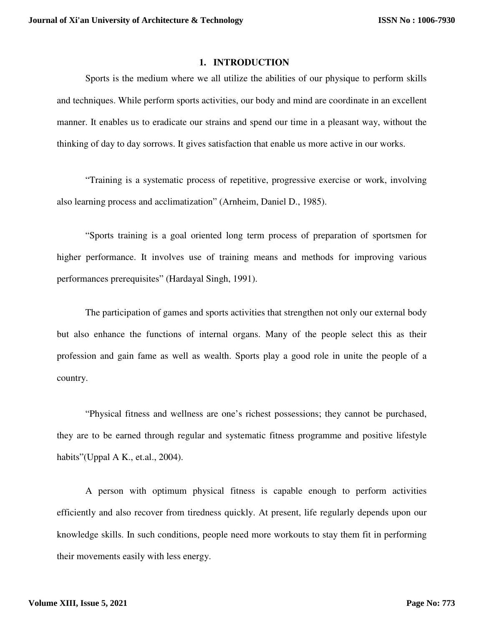#### **1. INTRODUCTION**

Sports is the medium where we all utilize the abilities of our physique to perform skills and techniques. While perform sports activities, our body and mind are coordinate in an excellent manner. It enables us to eradicate our strains and spend our time in a pleasant way, without the thinking of day to day sorrows. It gives satisfaction that enable us more active in our works.

"Training is a systematic process of repetitive, progressive exercise or work, involving also learning process and acclimatization" (Arnheim, Daniel D., 1985).

"Sports training is a goal oriented long term process of preparation of sportsmen for higher performance. It involves use of training means and methods for improving various performances prerequisites" (Hardayal Singh, 1991).

The participation of games and sports activities that strengthen not only our external body but also enhance the functions of internal organs. Many of the people select this as their profession and gain fame as well as wealth. Sports play a good role in unite the people of a country.

"Physical fitness and wellness are one's richest possessions; they cannot be purchased, they are to be earned through regular and systematic fitness programme and positive lifestyle habits"(Uppal A K., et.al., 2004).

A person with optimum physical fitness is capable enough to perform activities efficiently and also recover from tiredness quickly. At present, life regularly depends upon our knowledge skills. In such conditions, people need more workouts to stay them fit in performing their movements easily with less energy.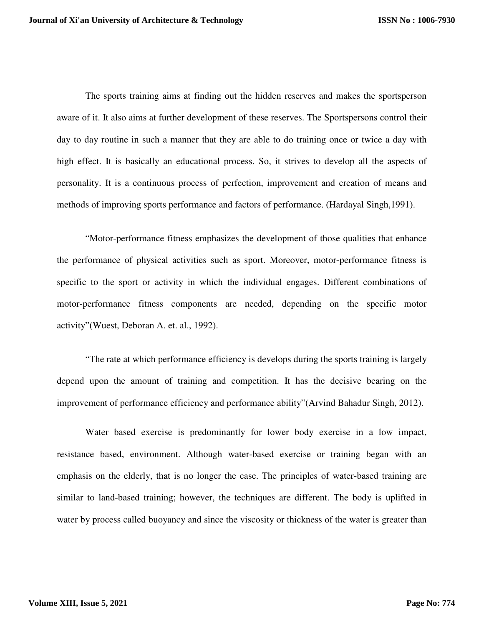The sports training aims at finding out the hidden reserves and makes the sportsperson aware of it. It also aims at further development of these reserves. The Sportspersons control their day to day routine in such a manner that they are able to do training once or twice a day with high effect. It is basically an educational process. So, it strives to develop all the aspects of personality. It is a continuous process of perfection, improvement and creation of means and methods of improving sports performance and factors of performance. (Hardayal Singh,1991).

"Motor-performance fitness emphasizes the development of those qualities that enhance the performance of physical activities such as sport. Moreover, motor-performance fitness is specific to the sport or activity in which the individual engages. Different combinations of motor-performance fitness components are needed, depending on the specific motor activity"(Wuest, Deboran A. et. al., 1992).

"The rate at which performance efficiency is develops during the sports training is largely depend upon the amount of training and competition. It has the decisive bearing on the improvement of performance efficiency and performance ability"(Arvind Bahadur Singh, 2012).

Water based exercise is predominantly for lower body exercise in a low impact, resistance based, environment. Although water-based exercise or training began with an emphasis on the elderly, that is no longer the case. The principles of water-based training are similar to land-based training; however, the techniques are different. The body is uplifted in water by process called buoyancy and since the viscosity or thickness of the water is greater than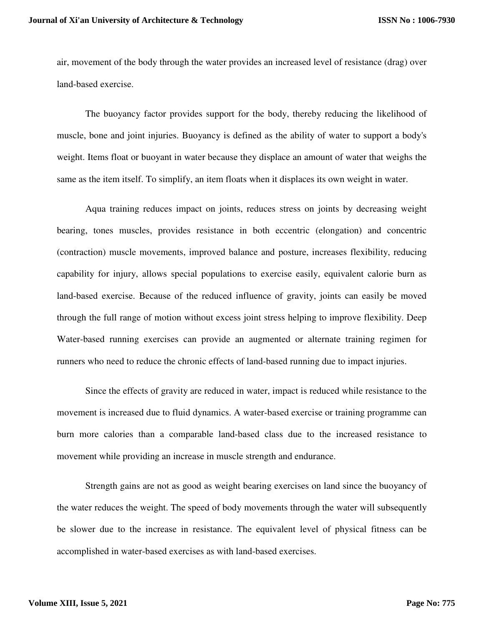air, movement of the body through the water provides an increased level of resistance (drag) over land-based exercise.

The buoyancy factor provides support for the body, thereby reducing the likelihood of muscle, bone and joint injuries. Buoyancy is defined as the ability of water to support a body's weight. Items float or buoyant in water because they displace an amount of water that weighs the same as the item itself. To simplify, an item floats when it displaces its own weight in water.

Aqua training reduces impact on joints, reduces stress on joints by decreasing weight bearing, tones muscles, provides resistance in both eccentric (elongation) and concentric (contraction) muscle movements, improved balance and posture, increases flexibility, reducing capability for injury, allows special populations to exercise easily, equivalent calorie burn as land-based exercise. Because of the reduced influence of gravity, joints can easily be moved through the full range of motion without excess joint stress helping to improve flexibility. Deep Water-based running exercises can provide an augmented or alternate training regimen for runners who need to reduce the chronic effects of land-based running due to impact injuries.

Since the effects of gravity are reduced in water, impact is reduced while resistance to the movement is increased due to fluid dynamics. A water-based exercise or training programme can burn more calories than a comparable land-based class due to the increased resistance to movement while providing an increase in muscle strength and endurance.

Strength gains are not as good as weight bearing exercises on land since the buoyancy of the water reduces the weight. The speed of body movements through the water will subsequently be slower due to the increase in resistance. The equivalent level of physical fitness can be accomplished in water-based exercises as with land-based exercises.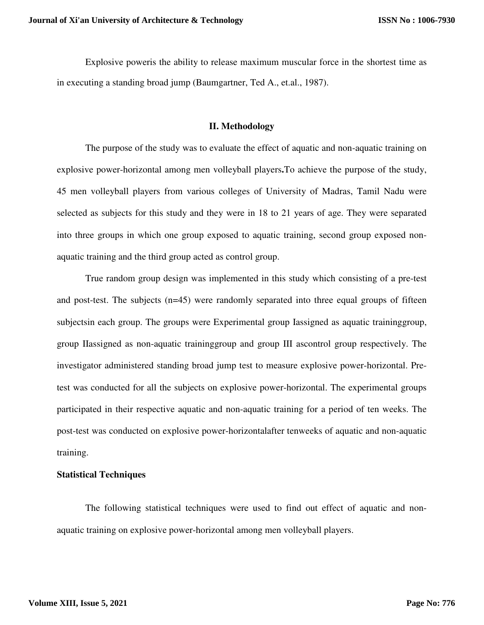Explosive poweris the ability to release maximum muscular force in the shortest time as in executing a standing broad jump (Baumgartner, Ted A., et.al., 1987).

#### **II. Methodology**

The purpose of the study was to evaluate the effect of aquatic and non-aquatic training on explosive power-horizontal among men volleyball players**.**To achieve the purpose of the study, 45 men volleyball players from various colleges of University of Madras, Tamil Nadu were selected as subjects for this study and they were in 18 to 21 years of age. They were separated into three groups in which one group exposed to aquatic training, second group exposed nonaquatic training and the third group acted as control group.

True random group design was implemented in this study which consisting of a pre-test and post-test. The subjects (n=45) were randomly separated into three equal groups of fifteen subjectsin each group. The groups were Experimental group Iassigned as aquatic traininggroup, group IIassigned as non-aquatic traininggroup and group III ascontrol group respectively. The investigator administered standing broad jump test to measure explosive power-horizontal. Pretest was conducted for all the subjects on explosive power-horizontal. The experimental groups participated in their respective aquatic and non-aquatic training for a period of ten weeks. The post-test was conducted on explosive power-horizontalafter tenweeks of aquatic and non-aquatic training.

#### **Statistical Techniques**

The following statistical techniques were used to find out effect of aquatic and nonaquatic training on explosive power-horizontal among men volleyball players.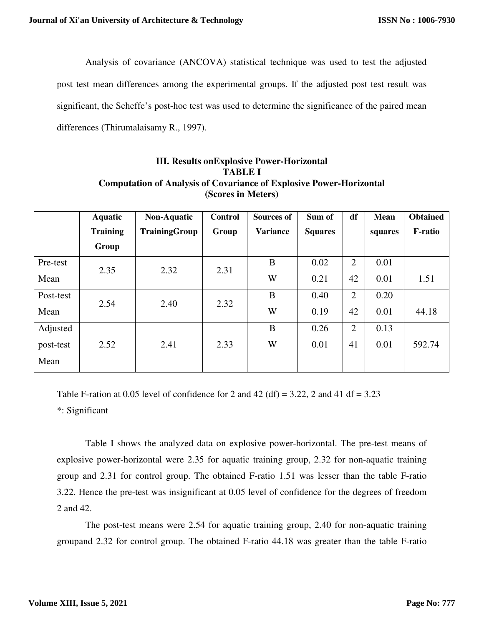Analysis of covariance (ANCOVA) statistical technique was used to test the adjusted

post test mean differences among the experimental groups. If the adjusted post test result was

significant, the Scheffe's post-hoc test was used to determine the significance of the paired mean

differences (Thirumalaisamy R., 1997).

# **III. Results onExplosive Power-Horizontal TABLE I Computation of Analysis of Covariance of Explosive Power-Horizontal (Scores in Meters)**

|           | <b>Aquatic</b>  | Non-Aquatic   | <b>Control</b> | <b>Sources of</b> | Sum of         | df             | <b>Mean</b> | <b>Obtained</b> |
|-----------|-----------------|---------------|----------------|-------------------|----------------|----------------|-------------|-----------------|
|           | <b>Training</b> | TrainingGroup | Group          | <b>Variance</b>   | <b>Squares</b> |                | squares     | <b>F-ratio</b>  |
|           | Group           |               |                |                   |                |                |             |                 |
| Pre-test  | 2.35            | 2.32          | 2.31           | B                 | 0.02           | $\overline{2}$ | 0.01        |                 |
| Mean      |                 |               |                | W                 | 0.21           | 42             | 0.01        | 1.51            |
| Post-test | 2.54            | 2.40          | 2.32           | B                 | 0.40           | 2              | 0.20        |                 |
| Mean      |                 |               |                | W                 | 0.19           | 42             | 0.01        | 44.18           |
| Adjusted  |                 |               |                | B                 | 0.26           | $\overline{2}$ | 0.13        |                 |
| post-test | 2.52            | 2.41          | 2.33           | W                 | 0.01           | 41             | 0.01        | 592.74          |
| Mean      |                 |               |                |                   |                |                |             |                 |

Table F-ration at 0.05 level of confidence for 2 and 42 (df) = 3.22, 2 and 41 df =  $3.23$ 

\*: Significant

Table I shows the analyzed data on explosive power-horizontal. The pre-test means of explosive power-horizontal were 2.35 for aquatic training group, 2.32 for non-aquatic training group and 2.31 for control group. The obtained F-ratio 1.51 was lesser than the table F-ratio 3.22. Hence the pre-test was insignificant at 0.05 level of confidence for the degrees of freedom 2 and 42.

The post-test means were 2.54 for aquatic training group, 2.40 for non-aquatic training groupand 2.32 for control group. The obtained F-ratio 44.18 was greater than the table F-ratio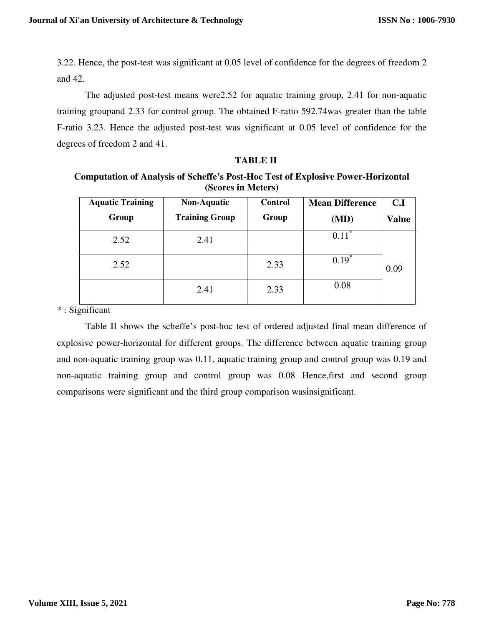3.22. Hence, the post-test was significant at 0.05 level of confidence for the degrees of freedom 2 and 42.

The adjusted post-test means were2.52 for aquatic training group, 2.41 for non-aquatic training groupand 2.33 for control group. The obtained F-ratio 592.74was greater than the table F-ratio 3.23. Hence the adjusted post-test was significant at 0.05 level of confidence for the degrees of freedom 2 and 41.

#### **TABLE II**

**Computation of Analysis of Scheffe's Post-Hoc Test of Explosive Power-Horizontal (Scores in Meters)**

| <b>Aquatic Training</b> | <b>Non-Aquatic</b>    | <b>Control</b> | <b>Mean Difference</b> | C.I          |
|-------------------------|-----------------------|----------------|------------------------|--------------|
| Group                   | <b>Training Group</b> | Group          | (MD)                   | <b>Value</b> |
| 2.52                    | 2.41                  |                | ∗<br>0.11              |              |
| 2.52                    |                       | 2.33           | $0.19^{^{\circ}}$      | 0.09         |
|                         | 2.41                  | 2.33           | 0.08                   |              |

\* : Significant

Table II shows the scheffe's post-hoc test of ordered adjusted final mean difference of explosive power-horizontal for different groups. The difference between aquatic training group and non-aquatic training group was 0.11, aquatic training group and control group was 0.19 and non-aquatic training group and control group was 0.08 Hence,first and second group comparisons were significant and the third group comparison wasinsignificant.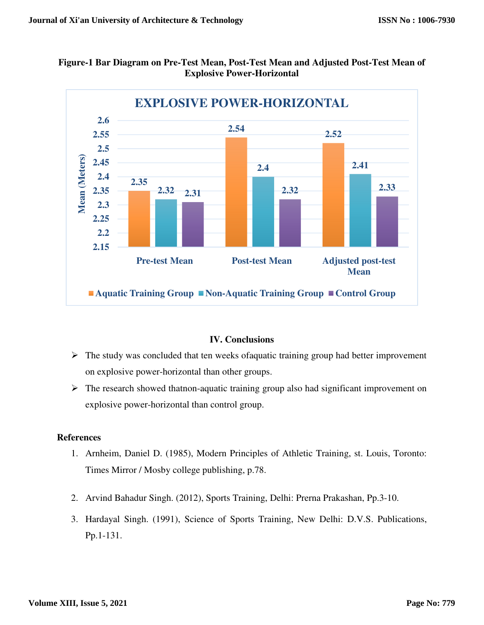



# **IV. Conclusions**

- $\triangleright$  The study was concluded that ten weeks of aquatic training group had better improvement on explosive power-horizontal than other groups.
- $\triangleright$  The research showed thatnon-aquatic training group also had significant improvement on explosive power-horizontal than control group.

## **References**

- 1. Arnheim, Daniel D. (1985), Modern Principles of Athletic Training, st. Louis, Toronto: Times Mirror / Mosby college publishing, p.78.
- 2. Arvind Bahadur Singh. (2012), Sports Training, Delhi: Prerna Prakashan, Pp.3-10.
- 3. Hardayal Singh. (1991), Science of Sports Training, New Delhi: D.V.S. Publications, Pp.1-131.